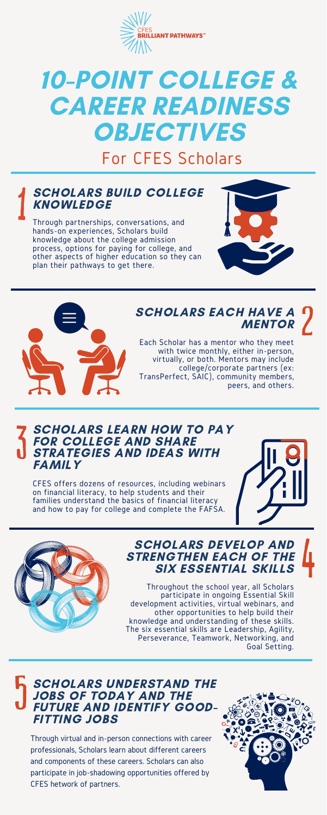Through partnerships, conversations, and hands-on experiences, Scholars build knowledge about the college admission process, options for paying for college, and other aspects of higher education so they can plan their pathways to get there.





Through virtual and in-person connections with career professionals, Scholars learn about different careers and components of these careers. Scholars can also participate in job-shadowing opportunities offered by CFES hetwork of partners.



CFES offers dozens of resources, including webinars on financial literacy, to help students and their families understand the basics of financial literacy and how to pay for college and complete the FAFSA.





Each Scholar has a mentor who they meet with twice monthly, either in-person, virtually, or both. Mentors may include college/corporate partners (ex: TransPerfect, SAIC), community members, peers, and others.

### SCHOLARS BUILD COLLEGE **KNOWLEDGE**



# 10-POINT COLLEGE & CAREER READINESS **OBJECTIVES**

Throughout the school year, all Scholars participate in ongoing Essential Skill development activities, virtual webinars, and other opportunities to help build their knowledge and understanding of these skills. The six essential skills are Leadership, Agility, Perseverance, Teamwork, Networking, and Goal Setting.

### SCHOLARS UNDERSTAND THE JOBS OF TODAY AND THE FUTURE AND IDENTIFY GOOD-FITTING JOBS

## SCHOLARS EACH HAVE A MENTOR

### SCHOLARS DEVELOP AND STRENGTHEN EACH OF THE SIX ESSENTIAL SKILLS

#### SCHOLARS LEARN HOW TO PAY FOR COLLEGE AND SHARE STRATEGIES AND IDEAS WITH FAMILY

# For CFES Scholars